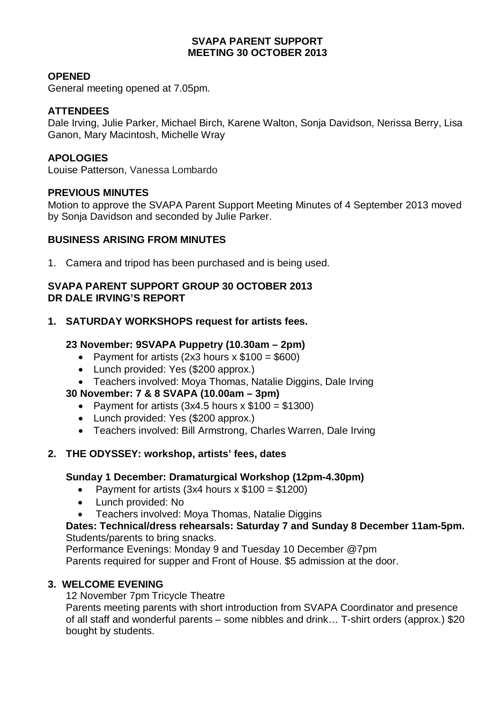# **SVAPA PARENT SUPPORT MEETING 30 OCTOBER 2013**

# **OPENED**

General meeting opened at 7.05pm.

## **ATTENDEES**

Dale Irving, Julie Parker, Michael Birch, Karene Walton, Sonja Davidson, Nerissa Berry, Lisa Ganon, Mary Macintosh, Michelle Wray

## **APOLOGIES**

Louise Patterson, Vanessa Lombardo

### **PREVIOUS MINUTES**

Motion to approve the SVAPA Parent Support Meeting Minutes of 4 September 2013 moved by Sonja Davidson and seconded by Julie Parker.

# **BUSINESS ARISING FROM MINUTES**

1. Camera and tripod has been purchased and is being used.

### **SVAPA PARENT SUPPORT GROUP 30 OCTOBER 2013 DR DALE IRVING'S REPORT**

### **1. SATURDAY WORKSHOPS request for artists fees.**

# **23 November: 9SVAPA Puppetry (10.30am – 2pm)**

- Payment for artists  $(2x3$  hours  $x $100 = $600$
- Lunch provided: Yes (\$200 approx.)
- Teachers involved: Moya Thomas, Natalie Diggins, Dale Irving

### **30 November: 7 & 8 SVAPA (10.00am – 3pm)**

- Payment for artists  $(3x4.5$  hours  $x $100 = $1300$
- Lunch provided: Yes (\$200 approx.)
- Teachers involved: Bill Armstrong, Charles Warren, Dale Irving

### **2. THE ODYSSEY: workshop, artists' fees, dates**

### **Sunday 1 December: Dramaturgical Workshop (12pm-4.30pm)**

- Payment for artists  $(3x4$  hours  $x $100 = $1200$
- Lunch provided: No
- Teachers involved: Moya Thomas, Natalie Diggins

### **Dates: Technical/dress rehearsals: Saturday 7 and Sunday 8 December 11am-5pm.**  Students/parents to bring snacks.

Performance Evenings: Monday 9 and Tuesday 10 December @7pm Parents required for supper and Front of House. \$5 admission at the door.

### **3. WELCOME EVENING**

12 November 7pm Tricycle Theatre

Parents meeting parents with short introduction from SVAPA Coordinator and presence of all staff and wonderful parents – some nibbles and drink… T-shirt orders (approx.) \$20 bought by students.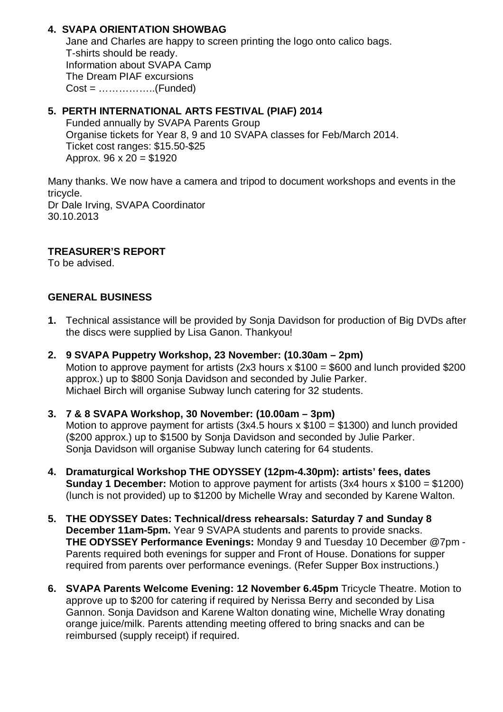# **4. SVAPA ORIENTATION SHOWBAG**

Jane and Charles are happy to screen printing the logo onto calico bags. T-shirts should be ready. Information about SVAPA Camp The Dream PIAF excursions  $Cost =$  ........................(Funded)

# **5. PERTH INTERNATIONAL ARTS FESTIVAL (PIAF) 2014**

Funded annually by SVAPA Parents Group Organise tickets for Year 8, 9 and 10 SVAPA classes for Feb/March 2014. Ticket cost ranges: \$15.50-\$25 Approx.  $96 \times 20 = $1920$ 

Many thanks. We now have a camera and tripod to document workshops and events in the tricycle. Dr Dale Irving, SVAPA Coordinator 30.10.2013

# **TREASURER'S REPORT**

To be advised.

# **GENERAL BUSINESS**

- **1.** Technical assistance will be provided by Sonja Davidson for production of Big DVDs after the discs were supplied by Lisa Ganon. Thankyou!
- **2. 9 SVAPA Puppetry Workshop, 23 November: (10.30am 2pm)**  Motion to approve payment for artists (2x3 hours  $x$  \$100 = \$600 and lunch provided \$200 approx.) up to \$800 Sonja Davidson and seconded by Julie Parker. Michael Birch will organise Subway lunch catering for 32 students.

## **3. 7 & 8 SVAPA Workshop, 30 November: (10.00am – 3pm)**  Motion to approve payment for artists  $(3x4.5$  hours  $x $100 = $1300$ ) and lunch provided (\$200 approx.) up to \$1500 by Sonja Davidson and seconded by Julie Parker. Sonia Davidson will organise Subway lunch catering for 64 students.

- **4. Dramaturgical Workshop THE ODYSSEY (12pm-4.30pm): artists' fees, dates Sunday 1 December:** Motion to approve payment for artists (3x4 hours x \$100 = \$1200) (lunch is not provided) up to \$1200 by Michelle Wray and seconded by Karene Walton.
- **5. THE ODYSSEY Dates: Technical/dress rehearsals: Saturday 7 and Sunday 8 December 11am-5pm.** Year 9 SVAPA students and parents to provide snacks. **THE ODYSSEY Performance Evenings:** Monday 9 and Tuesday 10 December @7pm - Parents required both evenings for supper and Front of House. Donations for supper required from parents over performance evenings. (Refer Supper Box instructions.)
- **6. SVAPA Parents Welcome Evening: 12 November 6.45pm** Tricycle Theatre. Motion to approve up to \$200 for catering if required by Nerissa Berry and seconded by Lisa Gannon. Sonja Davidson and Karene Walton donating wine, Michelle Wray donating orange juice/milk. Parents attending meeting offered to bring snacks and can be reimbursed (supply receipt) if required.